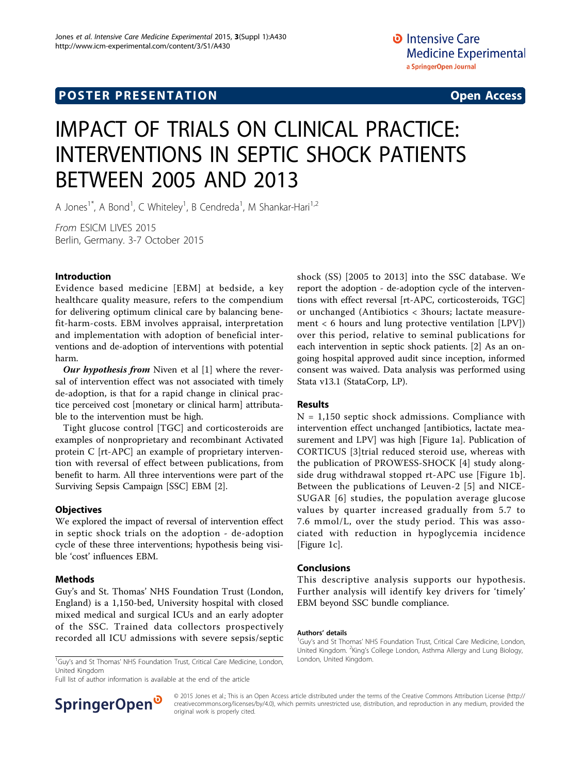# IMPACT OF TRIALS ON CLINICAL PRACTICE: INTERVENTIONS IN SEPTIC SHOCK PATIENTS BETWEEN 2005 AND 2013

A Jones<sup>1\*</sup>, A Bond<sup>1</sup>, C Whiteley<sup>1</sup>, B Cendreda<sup>1</sup>, M Shankar-Hari<sup>1,2</sup>

From ESICM LIVES 2015 Berlin, Germany. 3-7 October 2015

## Introduction

Evidence based medicine [EBM] at bedside, a key healthcare quality measure, refers to the compendium for delivering optimum clinical care by balancing benefit-harm-costs. EBM involves appraisal, interpretation and implementation with adoption of beneficial interventions and de-adoption of interventions with potential harm.

Our hypothesis from Niven et al  $[1]$  $[1]$  where the reversal of intervention effect was not associated with timely de-adoption, is that for a rapid change in clinical practice perceived cost [monetary or clinical harm] attributable to the intervention must be high.

Tight glucose control [TGC] and corticosteroids are examples of nonproprietary and recombinant Activated protein C [rt-APC] an example of proprietary intervention with reversal of effect between publications, from benefit to harm. All three interventions were part of the Surviving Sepsis Campaign [SSC] EBM [\[2](#page-1-0)].

## **Objectives**

We explored the impact of reversal of intervention effect in septic shock trials on the adoption - de-adoption cycle of these three interventions; hypothesis being visible 'cost' influences EBM.

## Methods

Guy's and St. Thomas' NHS Foundation Trust (London, England) is a 1,150-bed, University hospital with closed mixed medical and surgical ICUs and an early adopter of the SSC. Trained data collectors prospectively recorded all ICU admissions with severe sepsis/septic

<sup>1</sup>Guy's and St Thomas' NHS Foundation Trust, Critical Care Medicine, London, London, United Kingdom. United Kingdom

Full list of author information is available at the end of the article



shock (SS) [2005 to 2013] into the SSC database. We report the adoption - de-adoption cycle of the interventions with effect reversal [rt-APC, corticosteroids, TGC] or unchanged (Antibiotics < 3hours; lactate measurement < 6 hours and lung protective ventilation [LPV]) over this period, relative to seminal publications for each intervention in septic shock patients. [[2\]](#page-1-0) As an ongoing hospital approved audit since inception, informed consent was waived. Data analysis was performed using Stata v13.1 (StataCorp, LP).

## Results

 $N = 1,150$  septic shock admissions. Compliance with intervention effect unchanged [antibiotics, lactate measurement and LPV] was high [Figure [1](#page-1-0)a]. Publication of CORTICUS [[3](#page-1-0)]trial reduced steroid use, whereas with the publication of PROWESS-SHOCK [\[4](#page-1-0)] study alongside drug withdrawal stopped rt-APC use [Figure [1b](#page-1-0)]. Between the publications of Leuven-2 [[5](#page-1-0)] and NICE-SUGAR [[6](#page-1-0)] studies, the population average glucose values by quarter increased gradually from 5.7 to 7.6 mmol/L, over the study period. This was associated with reduction in hypoglycemia incidence [Figure [1c](#page-1-0)].

## Conclusions

This descriptive analysis supports our hypothesis. Further analysis will identify key drivers for 'timely' EBM beyond SSC bundle compliance.

#### Authors' details <sup>1</sup>

© 2015 Jones et al.; This is an Open Access article distributed under the terms of the Creative Commons Attribution License [\(http://](http://creativecommons.org/licenses/by/4.0) [creativecommons.org/licenses/by/4.0](http://creativecommons.org/licenses/by/4.0)), which permits unrestricted use, distribution, and reproduction in any medium, provided the original work is properly cited.

<sup>&</sup>lt;sup>1</sup>Guy's and St Thomas' NHS Foundation Trust, Critical Care Medicine, London, United Kingdom. <sup>2</sup>King's College London, Asthma Allergy and Lung Biology,